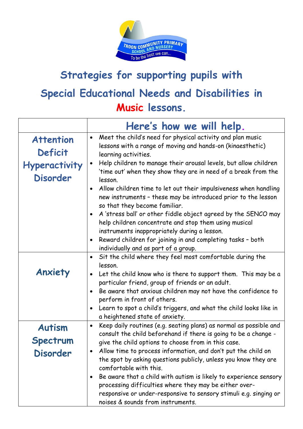

## **Strategies for supporting pupils with Special Educational Needs and Disabilities in Music lessons.**

|                                                                        | Here's how we will help.                                                                                                                                                                                                                                                                                                                                                                                                                                                                                                                                                                                                                                                                                                                                                                                     |
|------------------------------------------------------------------------|--------------------------------------------------------------------------------------------------------------------------------------------------------------------------------------------------------------------------------------------------------------------------------------------------------------------------------------------------------------------------------------------------------------------------------------------------------------------------------------------------------------------------------------------------------------------------------------------------------------------------------------------------------------------------------------------------------------------------------------------------------------------------------------------------------------|
| <b>Attention</b><br>Deficit<br><b>Hyperactivity</b><br><b>Disorder</b> | Meet the child's need for physical activity and plan music<br>$\bullet$<br>lessons with a range of moving and hands-on (kinaesthetic)<br>learning activities.<br>Help children to manage their arousal levels, but allow children<br>$\bullet$<br>'time out' when they show they are in need of a break from the<br>lesson.<br>Allow children time to let out their impulsiveness when handling<br>$\bullet$<br>new instruments - these may be introduced prior to the lesson<br>so that they become familiar.<br>A 'stress ball' or other fiddle object agreed by the SENCO may<br>help children concentrate and stop them using musical<br>instruments inappropriately during a lesson.<br>Reward children for joining in and completing tasks - both<br>$\bullet$<br>individually and as part of a group. |
| Anxiety                                                                | Sit the child where they feel most comfortable during the<br>$\bullet$<br>lesson.<br>Let the child know who is there to support them. This may be a<br>$\bullet$<br>particular friend, group of friends or an adult.<br>Be aware that anxious children may not have the confidence to<br>$\bullet$<br>perform in front of others.<br>Learn to spot a child's triggers, and what the child looks like in<br>$\bullet$<br>a heightened state of anxiety.                                                                                                                                                                                                                                                                                                                                                       |
| <b>Autism</b><br><b>Spectrum</b><br>Disorder                           | Keep daily routines (e.g. seating plans) as normal as possible and<br>$\bullet$<br>consult the child beforehand if there is going to be a change -<br>give the child options to choose from in this case.<br>Allow time to process information, and don't put the child on<br>the spot by asking questions publicly, unless you know they are<br>comfortable with this.<br>Be aware that a child with autism is likely to experience sensory<br>٠<br>processing difficulties where they may be either over-<br>responsive or under-responsive to sensory stimuli e.g. singing or<br>noises & sounds from instruments.                                                                                                                                                                                        |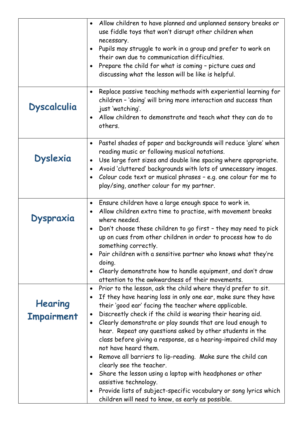|                              | Allow children to have planned and unplanned sensory breaks or<br>$\bullet$<br>use fiddle toys that won't disrupt other children when<br>necessary.<br>Pupils may struggle to work in a group and prefer to work on<br>$\bullet$<br>their own due to communication difficulties.<br>Prepare the child for what is coming - picture cues and<br>$\bullet$<br>discussing what the lesson will be like is helpful.                                                                                                                                                                                                                                                                                                                                                                                                                                                                     |
|------------------------------|-------------------------------------------------------------------------------------------------------------------------------------------------------------------------------------------------------------------------------------------------------------------------------------------------------------------------------------------------------------------------------------------------------------------------------------------------------------------------------------------------------------------------------------------------------------------------------------------------------------------------------------------------------------------------------------------------------------------------------------------------------------------------------------------------------------------------------------------------------------------------------------|
| <b>Dyscalculia</b>           | Replace passive teaching methods with experiential learning for<br>$\bullet$<br>children - 'doing' will bring more interaction and success than<br>just 'watching'.<br>Allow children to demonstrate and teach what they can do to<br>$\bullet$<br>others.                                                                                                                                                                                                                                                                                                                                                                                                                                                                                                                                                                                                                          |
| <b>Dyslexia</b>              | Pastel shades of paper and backgrounds will reduce 'glare' when<br>$\bullet$<br>reading music or following musical notations.<br>Use large font sizes and double line spacing where appropriate.<br>$\bullet$<br>Avoid 'cluttered' backgrounds with lots of unnecessary images.<br>$\bullet$<br>Colour code text or musical phrases - e.g. one colour for me to<br>$\bullet$<br>play/sing, another colour for my partner.                                                                                                                                                                                                                                                                                                                                                                                                                                                           |
| <b>Dyspraxia</b>             | Ensure children have a large enough space to work in.<br>$\bullet$<br>Allow children extra time to practise, with movement breaks<br>$\bullet$<br>where needed.<br>Don't choose these children to go first - they may need to pick<br>$\bullet$<br>up on cues from other children in order to process how to do<br>something correctly.<br>Pair children with a sensitive partner who knows what they're<br>$\bullet$<br>doing.<br>Clearly demonstrate how to handle equipment, and don't draw<br>$\bullet$<br>attention to the awkwardness of their movements.                                                                                                                                                                                                                                                                                                                     |
| Hearing<br><b>Impairment</b> | Prior to the lesson, ask the child where they'd prefer to sit.<br>$\bullet$<br>If they have hearing loss in only one ear, make sure they have<br>$\bullet$<br>their 'good ear' facing the teacher where applicable.<br>Discreetly check if the child is wearing their hearing aid.<br>$\bullet$<br>Clearly demonstrate or play sounds that are loud enough to<br>$\bullet$<br>hear. Repeat any questions asked by other students in the<br>class before giving a response, as a hearing-impaired child may<br>not have heard them.<br>Remove all barriers to lip-reading. Make sure the child can<br>$\bullet$<br>clearly see the teacher.<br>Share the lesson using a laptop with headphones or other<br>$\bullet$<br>assistive technology.<br>Provide lists of subject-specific vocabulary or song lyrics which<br>$\bullet$<br>children will need to know, as early as possible. |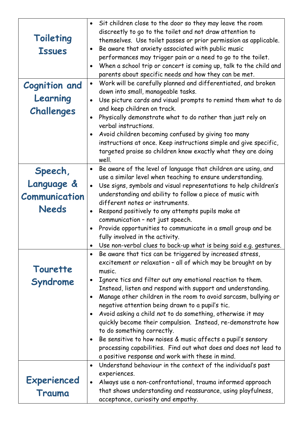| <b>Toileting</b><br><b>Issues</b><br><b>Cognition and</b><br>Learning<br>Challenges | Sit children close to the door so they may leave the room<br>$\bullet$<br>discreetly to go to the toilet and not draw attention to<br>themselves. Use toilet passes or prior permission as applicable.<br>Be aware that anxiety associated with public music<br>$\bullet$<br>performances may trigger pain or a need to go to the toilet.<br>When a school trip or concert is coming up, talk to the child and<br>$\bullet$<br>parents about specific needs and how they can be met.<br>Work will be carefully planned and differentiated, and broken<br>$\bullet$<br>down into small, manageable tasks.<br>Use picture cards and visual prompts to remind them what to do<br>$\bullet$<br>and keep children on track.<br>Physically demonstrate what to do rather than just rely on<br>$\bullet$<br>verbal instructions.<br>Avoid children becoming confused by giving too many<br>$\bullet$ |
|-------------------------------------------------------------------------------------|-----------------------------------------------------------------------------------------------------------------------------------------------------------------------------------------------------------------------------------------------------------------------------------------------------------------------------------------------------------------------------------------------------------------------------------------------------------------------------------------------------------------------------------------------------------------------------------------------------------------------------------------------------------------------------------------------------------------------------------------------------------------------------------------------------------------------------------------------------------------------------------------------|
|                                                                                     | instructions at once. Keep instructions simple and give specific,<br>targeted praise so children know exactly what they are doing<br>well.                                                                                                                                                                                                                                                                                                                                                                                                                                                                                                                                                                                                                                                                                                                                                    |
| Speech,                                                                             | Be aware of the level of language that children are using, and<br>$\bullet$<br>use a similar level when teaching to ensure understanding.                                                                                                                                                                                                                                                                                                                                                                                                                                                                                                                                                                                                                                                                                                                                                     |
| Language &                                                                          | Use signs, symbols and visual representations to help children's<br>$\bullet$                                                                                                                                                                                                                                                                                                                                                                                                                                                                                                                                                                                                                                                                                                                                                                                                                 |
| <b>Communication</b>                                                                | understanding and ability to follow a piece of music with<br>different notes or instruments.                                                                                                                                                                                                                                                                                                                                                                                                                                                                                                                                                                                                                                                                                                                                                                                                  |
| <b>Needs</b>                                                                        | Respond positively to any attempts pupils make at<br>$\bullet$                                                                                                                                                                                                                                                                                                                                                                                                                                                                                                                                                                                                                                                                                                                                                                                                                                |
|                                                                                     | communication - not just speech.                                                                                                                                                                                                                                                                                                                                                                                                                                                                                                                                                                                                                                                                                                                                                                                                                                                              |
|                                                                                     | Provide opportunities to communicate in a small group and be<br>$\bullet$                                                                                                                                                                                                                                                                                                                                                                                                                                                                                                                                                                                                                                                                                                                                                                                                                     |
|                                                                                     | fully involved in the activity.                                                                                                                                                                                                                                                                                                                                                                                                                                                                                                                                                                                                                                                                                                                                                                                                                                                               |
|                                                                                     | Use non-verbal clues to back-up what is being said e.g. gestures.<br>Be aware that tics can be triggered by increased stress,<br>$\bullet$                                                                                                                                                                                                                                                                                                                                                                                                                                                                                                                                                                                                                                                                                                                                                    |
| Tourette                                                                            | excitement or relaxation - all of which may be brought on by<br>music.                                                                                                                                                                                                                                                                                                                                                                                                                                                                                                                                                                                                                                                                                                                                                                                                                        |
| Syndrome                                                                            | Ignore tics and filter out any emotional reaction to them.<br>$\bullet$<br>Instead, listen and respond with support and understanding.                                                                                                                                                                                                                                                                                                                                                                                                                                                                                                                                                                                                                                                                                                                                                        |
|                                                                                     | Manage other children in the room to avoid sarcasm, bullying or<br>$\bullet$                                                                                                                                                                                                                                                                                                                                                                                                                                                                                                                                                                                                                                                                                                                                                                                                                  |
|                                                                                     | negative attention being drawn to a pupil's tic.                                                                                                                                                                                                                                                                                                                                                                                                                                                                                                                                                                                                                                                                                                                                                                                                                                              |
|                                                                                     | Avoid asking a child not to do something, otherwise it may<br>$\bullet$                                                                                                                                                                                                                                                                                                                                                                                                                                                                                                                                                                                                                                                                                                                                                                                                                       |
|                                                                                     | quickly become their compulsion. Instead, re-demonstrate how<br>to do something correctly.                                                                                                                                                                                                                                                                                                                                                                                                                                                                                                                                                                                                                                                                                                                                                                                                    |
|                                                                                     | Be sensitive to how noises & music affects a pupil's sensory<br>$\bullet$                                                                                                                                                                                                                                                                                                                                                                                                                                                                                                                                                                                                                                                                                                                                                                                                                     |
|                                                                                     | processing capabilities. Find out what does and does not lead to                                                                                                                                                                                                                                                                                                                                                                                                                                                                                                                                                                                                                                                                                                                                                                                                                              |
|                                                                                     | a positive response and work with these in mind.                                                                                                                                                                                                                                                                                                                                                                                                                                                                                                                                                                                                                                                                                                                                                                                                                                              |
|                                                                                     | Understand behaviour in the context of the individual's past<br>$\bullet$                                                                                                                                                                                                                                                                                                                                                                                                                                                                                                                                                                                                                                                                                                                                                                                                                     |
| <b>Experienced</b>                                                                  | experiences.<br>Always use a non-confrontational, trauma informed approach<br>$\bullet$                                                                                                                                                                                                                                                                                                                                                                                                                                                                                                                                                                                                                                                                                                                                                                                                       |
|                                                                                     | that shows understanding and reassurance, using playfulness,                                                                                                                                                                                                                                                                                                                                                                                                                                                                                                                                                                                                                                                                                                                                                                                                                                  |
| Trauma                                                                              | acceptance, curiosity and empathy.                                                                                                                                                                                                                                                                                                                                                                                                                                                                                                                                                                                                                                                                                                                                                                                                                                                            |